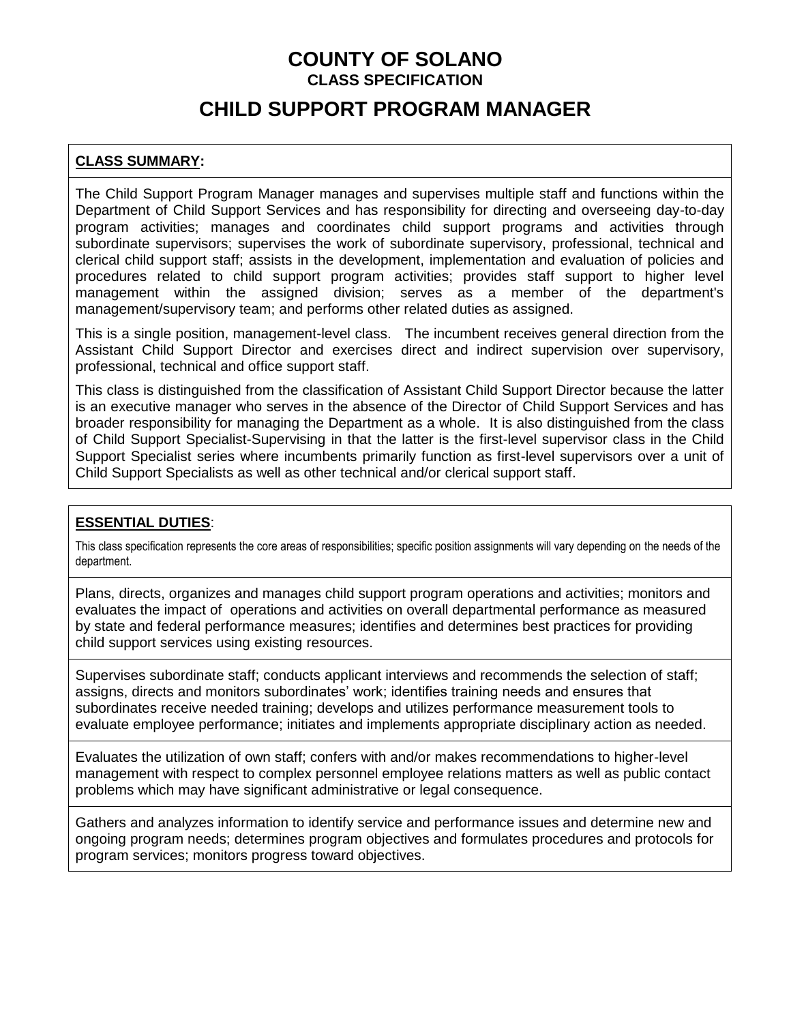## **CHILD SUPPORT PROGRAM MANAGER**

#### **CLASS SUMMARY:**

The Child Support Program Manager manages and supervises multiple staff and functions within the Department of Child Support Services and has responsibility for directing and overseeing day-to-day program activities; manages and coordinates child support programs and activities through subordinate supervisors; supervises the work of subordinate supervisory, professional, technical and clerical child support staff; assists in the development, implementation and evaluation of policies and procedures related to child support program activities; provides staff support to higher level management within the assigned division; serves as a member of the department's management/supervisory team; and performs other related duties as assigned.

This is a single position, management-level class. The incumbent receives general direction from the Assistant Child Support Director and exercises direct and indirect supervision over supervisory, professional, technical and office support staff.

This class is distinguished from the classification of Assistant Child Support Director because the latter is an executive manager who serves in the absence of the Director of Child Support Services and has broader responsibility for managing the Department as a whole. It is also distinguished from the class of Child Support Specialist-Supervising in that the latter is the first-level supervisor class in the Child Support Specialist series where incumbents primarily function as first-level supervisors over a unit of Child Support Specialists as well as other technical and/or clerical support staff.

#### **ESSENTIAL DUTIES**:

This class specification represents the core areas of responsibilities; specific position assignments will vary depending on the needs of the department.

Plans, directs, organizes and manages child support program operations and activities; monitors and evaluates the impact of operations and activities on overall departmental performance as measured by state and federal performance measures; identifies and determines best practices for providing child support services using existing resources.

Supervises subordinate staff; conducts applicant interviews and recommends the selection of staff; assigns, directs and monitors subordinates' work; identifies training needs and ensures that subordinates receive needed training; develops and utilizes performance measurement tools to evaluate employee performance; initiates and implements appropriate disciplinary action as needed.

Evaluates the utilization of own staff; confers with and/or makes recommendations to higher-level management with respect to complex personnel employee relations matters as well as public contact problems which may have significant administrative or legal consequence.

Gathers and analyzes information to identify service and performance issues and determine new and ongoing program needs; determines program objectives and formulates procedures and protocols for program services; monitors progress toward objectives.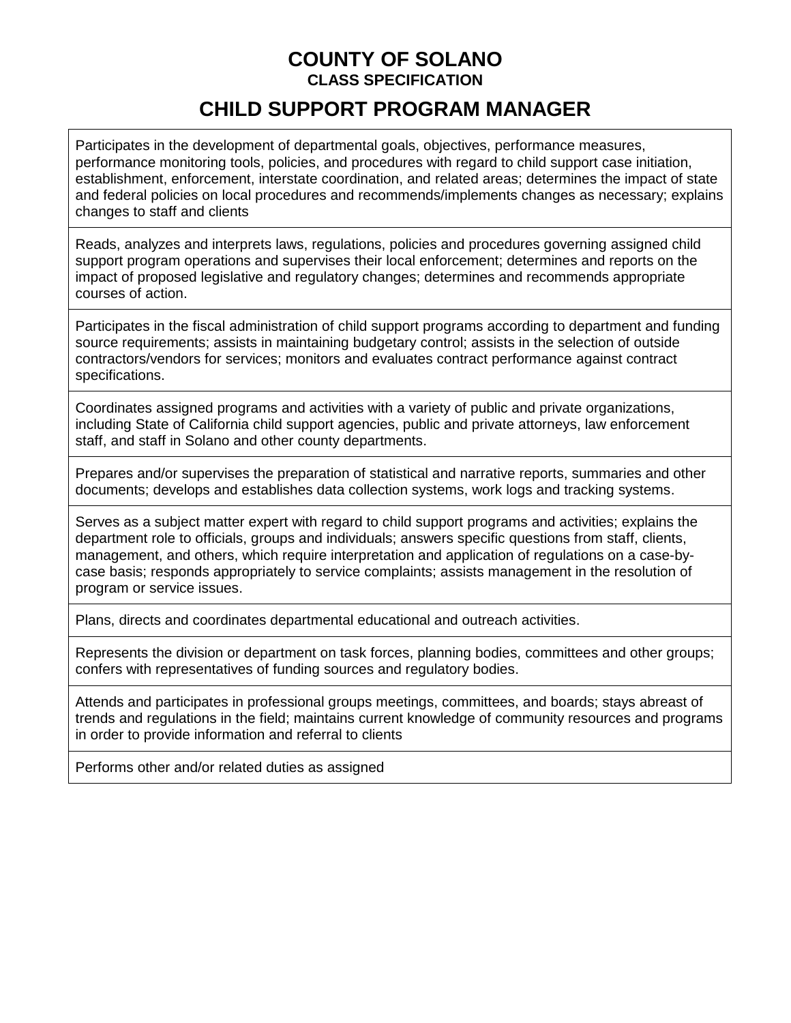# **CHILD SUPPORT PROGRAM MANAGER**

Participates in the development of departmental goals, objectives, performance measures, performance monitoring tools, policies, and procedures with regard to child support case initiation, establishment, enforcement, interstate coordination, and related areas; determines the impact of state and federal policies on local procedures and recommends/implements changes as necessary; explains changes to staff and clients

Reads, analyzes and interprets laws, regulations, policies and procedures governing assigned child support program operations and supervises their local enforcement; determines and reports on the impact of proposed legislative and regulatory changes; determines and recommends appropriate courses of action.

Participates in the fiscal administration of child support programs according to department and funding source requirements; assists in maintaining budgetary control; assists in the selection of outside contractors/vendors for services; monitors and evaluates contract performance against contract specifications.

Coordinates assigned programs and activities with a variety of public and private organizations, including State of California child support agencies, public and private attorneys, law enforcement staff, and staff in Solano and other county departments.

Prepares and/or supervises the preparation of statistical and narrative reports, summaries and other documents; develops and establishes data collection systems, work logs and tracking systems.

Serves as a subject matter expert with regard to child support programs and activities; explains the department role to officials, groups and individuals; answers specific questions from staff, clients, management, and others, which require interpretation and application of regulations on a case-bycase basis; responds appropriately to service complaints; assists management in the resolution of program or service issues.

Plans, directs and coordinates departmental educational and outreach activities.

Represents the division or department on task forces, planning bodies, committees and other groups; confers with representatives of funding sources and regulatory bodies.

Attends and participates in professional groups meetings, committees, and boards; stays abreast of trends and regulations in the field; maintains current knowledge of community resources and programs in order to provide information and referral to clients

Performs other and/or related duties as assigned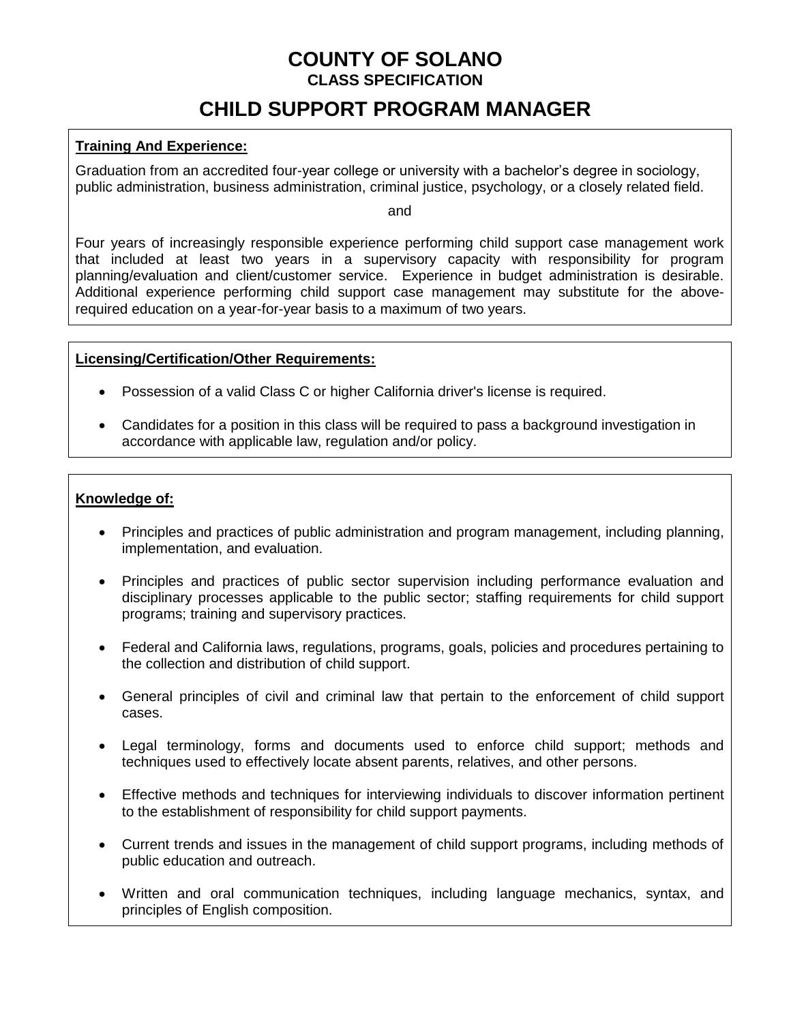# **CHILD SUPPORT PROGRAM MANAGER**

#### **Training And Experience:**

Graduation from an accredited four-year college or university with a bachelor's degree in sociology, public administration, business administration, criminal justice, psychology, or a closely related field.

and

Four years of increasingly responsible experience performing child support case management work that included at least two years in a supervisory capacity with responsibility for program planning/evaluation and client/customer service. Experience in budget administration is desirable. Additional experience performing child support case management may substitute for the aboverequired education on a year-for-year basis to a maximum of two years.

#### **Licensing/Certification/Other Requirements:**

- Possession of a valid Class C or higher California driver's license is required.
- Candidates for a position in this class will be required to pass a background investigation in accordance with applicable law, regulation and/or policy.

#### **Knowledge of:**

- Principles and practices of public administration and program management, including planning, implementation, and evaluation.
- Principles and practices of public sector supervision including performance evaluation and disciplinary processes applicable to the public sector; staffing requirements for child support programs; training and supervisory practices.
- Federal and California laws, regulations, programs, goals, policies and procedures pertaining to the collection and distribution of child support.
- General principles of civil and criminal law that pertain to the enforcement of child support cases.
- Legal terminology, forms and documents used to enforce child support; methods and techniques used to effectively locate absent parents, relatives, and other persons.
- Effective methods and techniques for interviewing individuals to discover information pertinent to the establishment of responsibility for child support payments.
- Current trends and issues in the management of child support programs, including methods of public education and outreach.
- Written and oral communication techniques, including language mechanics, syntax, and principles of English composition.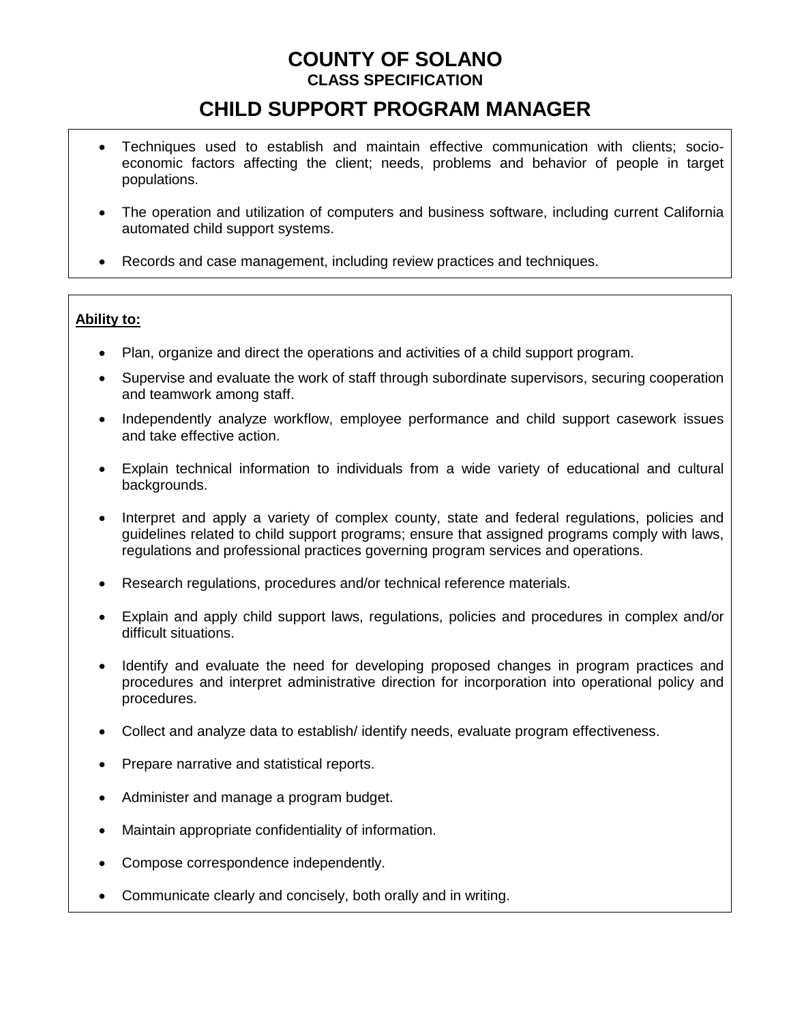# **CHILD SUPPORT PROGRAM MANAGER**

- Techniques used to establish and maintain effective communication with clients; socioeconomic factors affecting the client; needs, problems and behavior of people in target populations.
- The operation and utilization of computers and business software, including current California automated child support systems.
- Records and case management, including review practices and techniques.

#### **Ability to:**

- Plan, organize and direct the operations and activities of a child support program.
- Supervise and evaluate the work of staff through subordinate supervisors, securing cooperation and teamwork among staff.
- Independently analyze workflow, employee performance and child support casework issues and take effective action.
- Explain technical information to individuals from a wide variety of educational and cultural backgrounds.
- Interpret and apply a variety of complex county, state and federal regulations, policies and guidelines related to child support programs; ensure that assigned programs comply with laws, regulations and professional practices governing program services and operations.
- Research regulations, procedures and/or technical reference materials.
- Explain and apply child support laws, regulations, policies and procedures in complex and/or difficult situations.
- Identify and evaluate the need for developing proposed changes in program practices and procedures and interpret administrative direction for incorporation into operational policy and procedures.
- Collect and analyze data to establish/ identify needs, evaluate program effectiveness.
- Prepare narrative and statistical reports.
- Administer and manage a program budget.
- Maintain appropriate confidentiality of information.
- Compose correspondence independently.
- Communicate clearly and concisely, both orally and in writing.